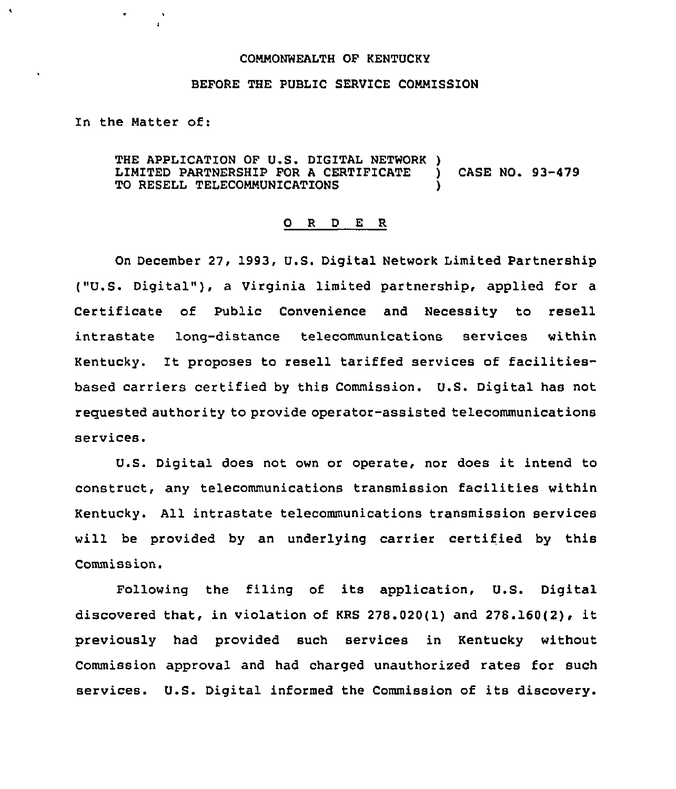### COMMONWEALTH OF KENTUCKY

## BEFORE THE PUBLIC SERVICE COMMISSION

In the Matter of:

THE APPLICATION OF U.S. DIGITAL NETWORK )<br>LIMITED PARTNERSHIP FOR A CERTIFICATE LIMITED PARTNERSHIP FOR <sup>A</sup> CERTIFICATE ) CASE NO. 93-479 TO RESELL TELECOMMUNICATIONS

### 0 <sup>R</sup> <sup>D</sup> E R

On December 27, 1993, U.S. Digital Network Limited Partnership ("U.S. Digital" ), <sup>a</sup> Virginia limited partnership, applied for <sup>a</sup> Certificate of Public Convenience and Necessity to resell intrastate long-distance telecommunications services within Kentucky. It proposes to resell tariffed services of facilitiesbased carriers certified by this Commission. U.S. Digital has not requested authority to provide operator-assisted telecommunications services.

U.S. Digital does not own or operate, nor does it intend to construct, any telecommunications transmission facilities within Kentucky. All intrastate telecommunications transmission services will be provided by an underlying carrier certified by this Commission.

Following the filing of its application, U.S. Digital discovered that, in violation of KRS 278.020(1) and 276.160(2), it previously had provided such services in Kentucky without Commission approval and had charged unauthorized rates for such services. U.S. Digital informed the Commission of its discovery.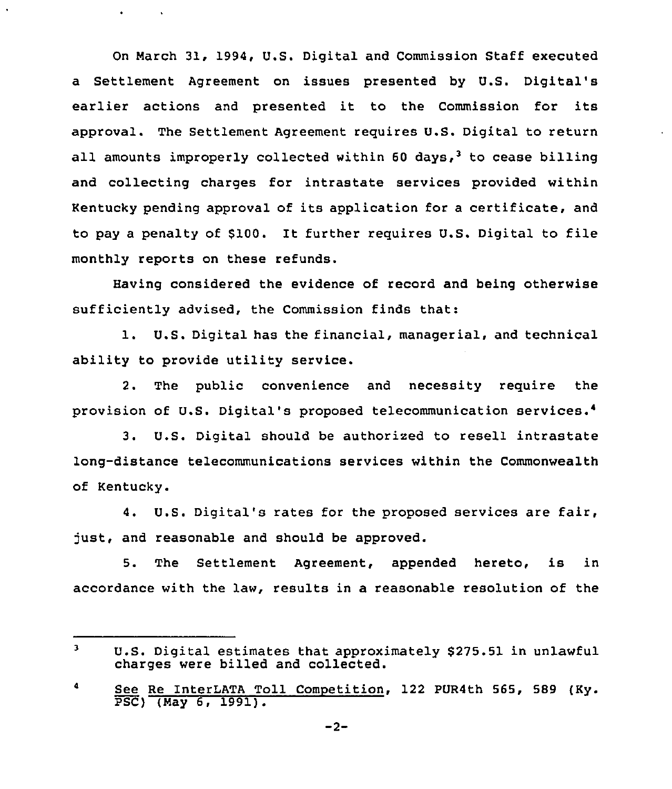On March 31, 1994, U.S. Digital and Commission Staff executed a Settlement Agreement on issues presented by U.S. Digital's earlier actions and presented it to the Commission for its approval. The Settlement Agreement requires U.S. Digital to return all amounts improperly collected within 60 days,<sup>3</sup> to cease billing and collecting charges for intrastate services provided within Kentucky pending approval of its application for a certificate, and to pay <sup>a</sup> penalty of \$100. It further requires U.S. Digital to file monthly reports on these refunds.

 $\bullet$  . <br> <br> <br> <br> <br> <br> <br> <br> <br><br><br><br><br>

 $\sim 100$ 

Raving considered the evidence of record and being otherwise sufficiently advised, the Commission finds that:

l. U.S. Digital has the financial, managerial, and technical ability to provide utility service.

2. The public convenience and necessity require the provision of U.S. Digital's proposed telecommunication services.

3. U.S. Digital should be authorized to resell intrastate long-distance telecommunications services within the Commonwealth of Kentucky.

4. U.S. Digital's rates for the proposed services are fair, just, and reasonable and should be approved.

5. The Settlement Agreement, appended hereto, is in accordance with the law, results in a reasonable resolution of the

 $\overline{\mathbf{3}}$ U.S. Digital estimates that approximately \$275.51 in unlawful charges were billed and collected.

<sup>4</sup> See Re InterLATA Toll Competition, 122 PUR4th 565, 589 (Ky. PSC) (Nay 6, 1991).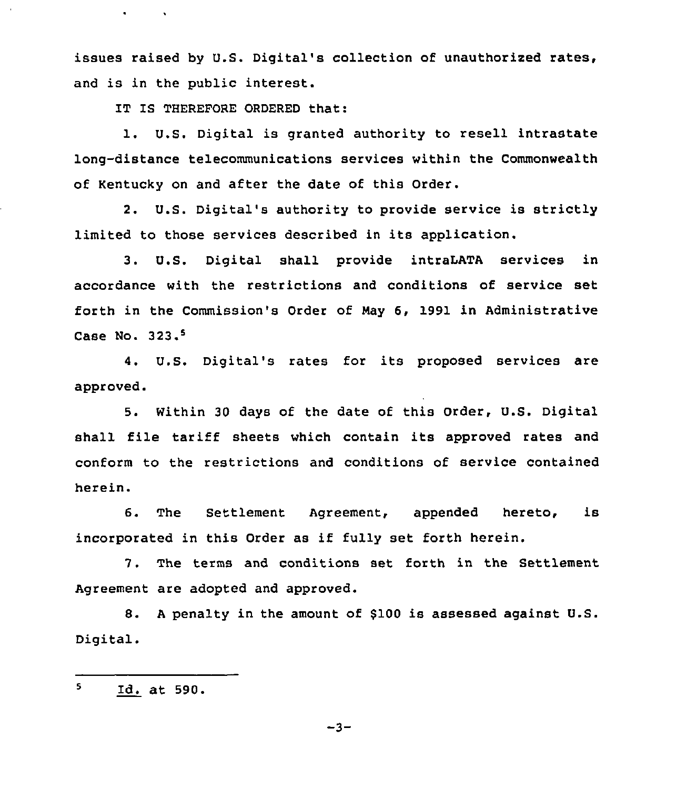issues raised by U.S. Digital's collection of unauthorized rates, and is in the public interest.

IT IS THEREFORE ORDERED that:

 $\bullet$  . The  $\bullet$  .  $\bullet$ 

l. U.S. Digital is granted authority to resell intrastate long-distance telecommunications services within the Commonwealth of Kentucky on and after the date of this Order.

2. U.S. Digital's authority to provide service is strictly limited to those services described in its application.

3. U.S. Digital shall provide intraLATA services in accordance with the restrictions and conditions of service set forth in the Commission's Order of Nay 6, 1991 in Administrative Case No. 323.<sup>5</sup>

U.S. Digital's rates for its proposed services are approved.

5. Within 30 days of the date of this Order, U.S. Digital shall file tariff sheets which contain its approved rates and conform to the restrictions and conditions of service contained herein.

6. The Settlement Agreement, appended hereto, is incorporated in this Order as if fully set forth herein.

7. The terms and conditions set forth in the Settlement Agreement are adopted and approved.

8. A penalty in the amount of \$100 is assessed against U.S. Digital.

 $\mathbf{s}$ Id. at 590.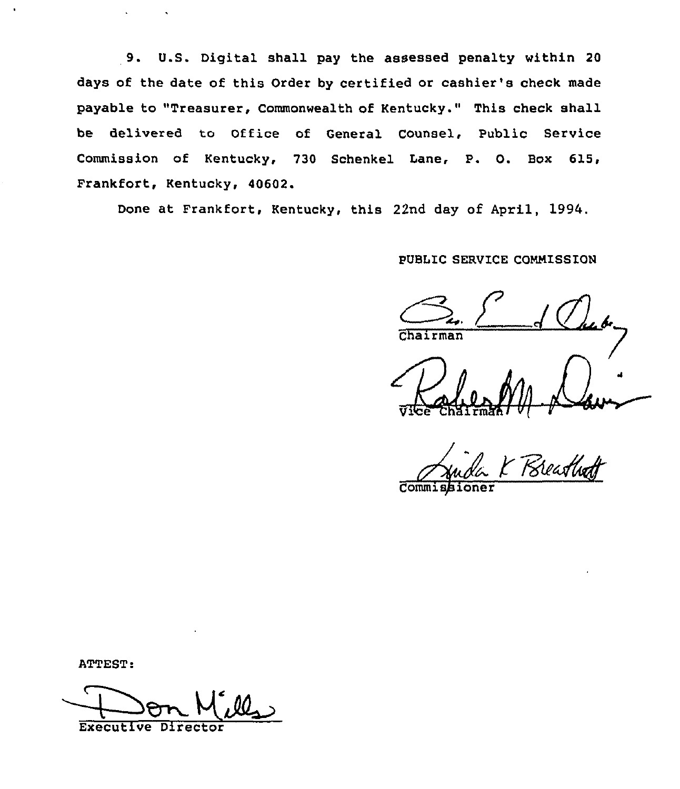9. U.S. Digital shall pay the assessed penalty within <sup>20</sup> days of the date of this Order by certified or cashier's check made payable to "Treasurer, Commonwealth of Kentucky." This check shall be delivered to Office of General Counsel, Public Service Commission of Kentucky, 730 Schenkel Lane, P. O. Box 615, Frankfort, Kentucky, 40602.

Done at Frankfort, Kentucky, this 22nd day of April, 1994.

# PUBLIC SERVICE COMMISSION

Chairman

**Commissione** 

ATTEST:

Executive Di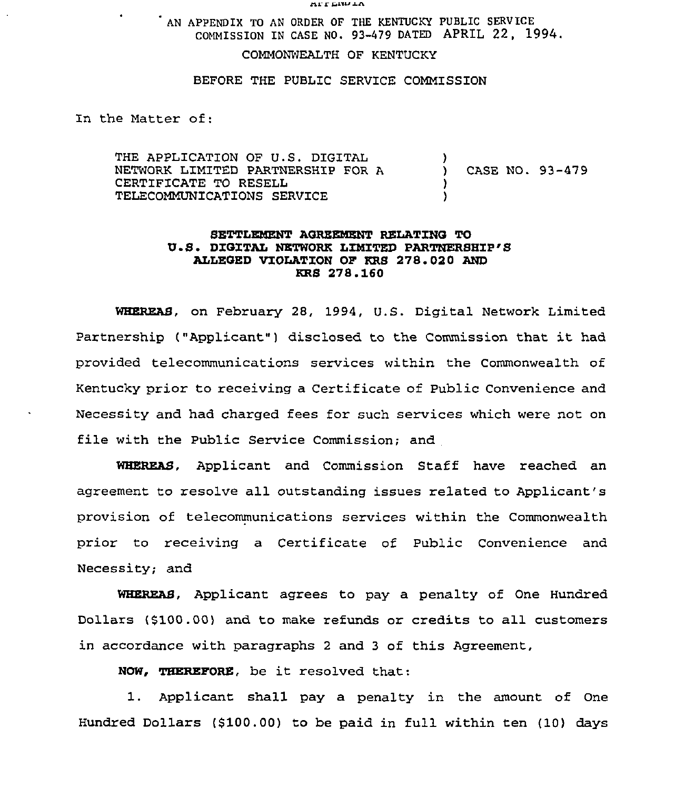**ALL CIANTY** 

AN APPENDIX TO AN ORDER OF THE KENTUCKY PUBLIC SERVICE COMMISSION IN CASE NO. 93-479 DATED APRIL 22, 1994.

COMMONWEALTH OF KENTUCKY

BEFORE THE PUBLIC SERVICE COMMISSION

In the Matter of:

THE APPLICATION OF U.S. DIGITAL NETWORK LIMITED PARTNERSHIP FOR A CERTIFICATE TO RESELL TELECOMMUNICATIONS SERVICE  $\left\{ \right\}$ ) CASE NO. 93-479 )

## SETTLEMENT AGREEMENT RELATING TO U.S. DIGITAL NETWORK LIMITED PARTNERSHIP'S ALLEGED VIOLATION OF KRS 278. 020 AND KRS 278.160

WHEREAS, on February 28, 1994, U.S. Digital Network Limited Partnership ("Applicant") disclosed to the Commission that it had provided telecommunications services within the Commonwealth of Kentucky prior to receiving a Certificate of Public Convenience and Necessity and had charged fees for such services which were not on file with the Public Service Commission; and

WBEREAS, Applicant and Commission Staff have reached an agreement to resolve all outstanding issues related to Applicant's provision of telecommunications services within the Commonwealth prior to receiving a Certificate of Public Convenience and Necessity; and

WHEREAS, Applicant agrees to pay a penalty of One Hundred Dollars (\$100 .00) and to make refunds or credits to all customers in accordance with paragraphs <sup>2</sup> and <sup>3</sup> of this Agreement,

NOW, THEREFORE, be it resolved that:

1. Applicant shall pay a penalty in the amount of One Hundred Dollars (6100.00) to be paid in full within ten (10) days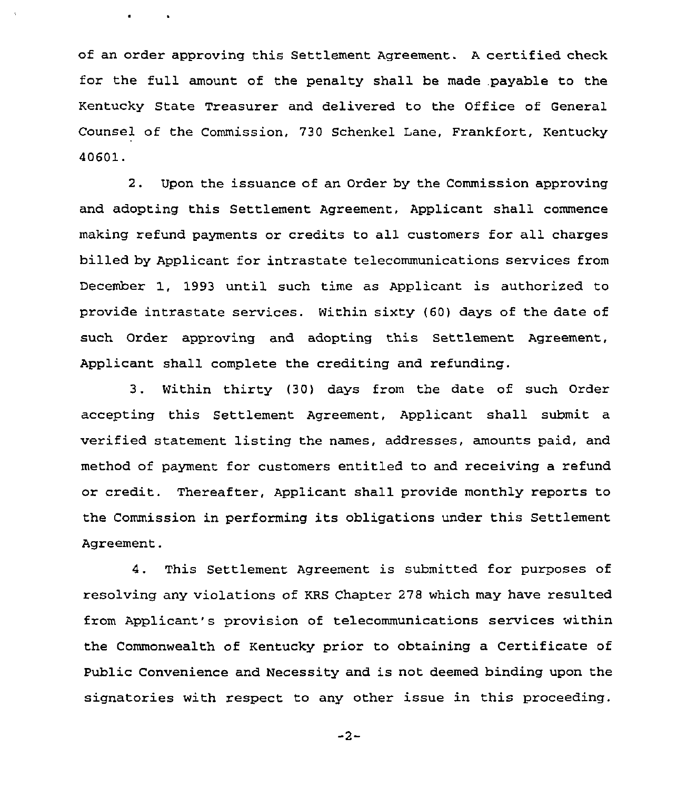of an order approving this Settlement Agreement. <sup>A</sup> certified check for the full amount of the penalty shall be made payable to the Kentucky State Treasurer and delivered to the Office of General Counsel of the Commission. 730 Schenkel Lane, Frankfort, Kentucky 40601.

**All Contracts** 

2. Upon the issuance of an Order by the Commission approving and adopting this Settlement Agreement, Applicant shall commence making refund payments or credits to all customers for all charges billed by Applicant for intrastate telecommunications services from December 1, 1993 until such time as Applicant is authorized to provide intrastate services. Within sixty (60) days of the date of such Order approving and adopting this Settlement Agreement, Applicant shall complete the crediting and refunding.

3. Within thirty (30) days from the date of such Order accepting this Settlement Agreement, Applicant shall submit a verified statement listing the names, addresses, amounts paid, and method of payment for customers entitled to and receiving a refund or credit. Thereafter, Applicant shall provide monthly reports to the Commission in performing its obligations under this Settlement Agreement.

4. This Settlement Agreement is submitted for purposes of resolving any violations of KRS Chapter 278 which may have resulted from Applicant's provision of telecommunications services within the Commonwealth of Kentucky prior to obtaining a Certificate of Public Convenience and Necessity and is not deemed binding upon the signatories with respect to any other issue in this proceeding.

 $-2-$